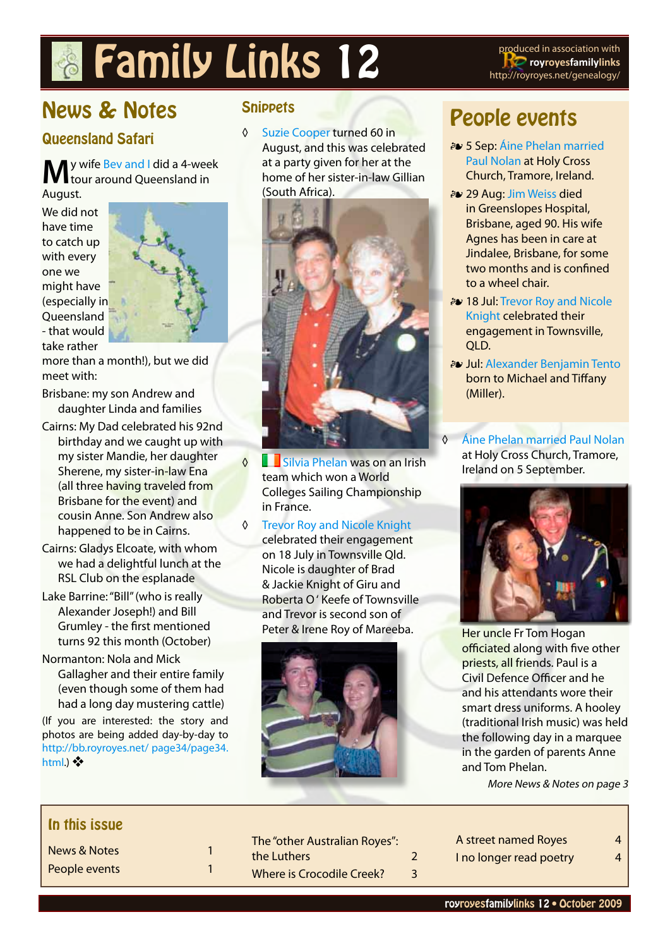# **Family Links 12** produced in association with

**royroyesfamilylinks** http://royroyes.net/genealogy/

# News & Notes

#### Queensland Safari

#### **M**y wife [Bev and I](http://royroyes.net/genealogy/familygroup.php?familyID=F1&tree=rr_tree) did a 4-week tour around Queensland in

August.

We did not have time to catch up with every one we might have (especially in **Oueensland** - that would take rather



more than a month!), but we did meet with:

- Brisbane: my son Andrew and daughter Linda and families
- Cairns: My Dad celebrated his 92nd birthday and we caught up with my sister Mandie, her daughter Sherene, my sister-in-law Ena (all three having traveled from Brisbane for the event) and cousin Anne. Son Andrew also happened to be in Cairns.
- Cairns: Gladys Elcoate, with whom we had a delightful lunch at the RSL Club on the esplanade
- Lake Barrine: "Bill" (who is really Alexander Joseph!) and Bill Grumley - the first mentioned turns 92 this month (October)
- Normanton: Nola and Mick Gallagher and their entire family (even though some of them had had a long day mustering cattle)

(If you are interested: the story and photos are being added day-by-day to [http://bb.royroyes.net/ page34/page34.](http://bb.royroyes.net/ page34/page34.html) [html.](http://bb.royroyes.net/ page34/page34.html)) ❖

#### **Snippets**

◊ [Suzie Cooper](http://royroyes.net/genealogy/getperson.php?personID=I4009&tree=rr_tree) turned 60 in August, and this was celebrated at a party given for her at the home of her sister-in-law Gillian (South Africa).



- ◊ [Silvia Phelan](http://royroyes.net/genealogy/getperson.php?personID=I4002&tree=rr_tree) was on an Irish team which won a World Colleges Sailing Championship in France.
- ◊ [Trevor Roy and Nicole Knight](Trevor Roy and Nicole Knight )  celebrated their engagement on 18 July in Townsville Qld. Nicole is daughter of Brad & Jackie Knight of Giru and Roberta O ' Keefe of Townsville and Trevor is second son of Peter & Irene Roy of Mareeba.



# People events

- ɶ 5 Sep: [Áine Phelan married](http://royroyes.net/genealogy/familygroup.php?familyID=F4225&tree=rr_tree)  [Paul Nolan](http://royroyes.net/genealogy/familygroup.php?familyID=F4225&tree=rr_tree) at Holy Cross Church, Tramore, Ireland.
- ɶ 29 Aug: [Jim Weiss](http://royroyes.net/genealogy/getperson.php?personID=I1304&tree=rr_tree) died in Greenslopes Hospital, Brisbane, aged 90. His wife Agnes has been in care at Jindalee, Brisbane, for some two months and is confined to a wheel chair.
- ɶ 18 Jul: [Trevor Roy and Nicole](http://royroyes.net/genealogy/familygroup.php?familyID=F1987&tree=rr_tree)  [Knight](http://royroyes.net/genealogy/familygroup.php?familyID=F1987&tree=rr_tree) celebrated their engagement in Townsville, QLD.
- ɶ Jul: [Alexander Benjamin Tento](http://royroyes.net/genealogy/getperson.php?personID=I5919&tree=rr_tree) born to Michael and Tiffany (Miller).
- ◊ [Áine Phelan married Paul Nolan](�ine Phelan married Paul Nolan) at Holy Cross Church, Tramore, Ireland on 5 September.



Her uncle Fr Tom Hogan officiated along with five other priests, all friends. Paul is a Civil Defence Officer and he and his attendants wore their smart dress uniforms. A hooley (traditional Irish music) was held the following day in a marquee in the garden of parents Anne and Tom Phelan.

More News & Notes on page 3

#### In this issue

| <b>News &amp; Notes</b> |  |
|-------------------------|--|
| People events           |  |

| The "other Australian Royes":    |   |
|----------------------------------|---|
| the Luthers                      | 2 |
| <b>Where is Crocodile Creek?</b> | 3 |

[A street named Royes](#page-3-0) 4 [I no longer read poetry](#page-3-0) 4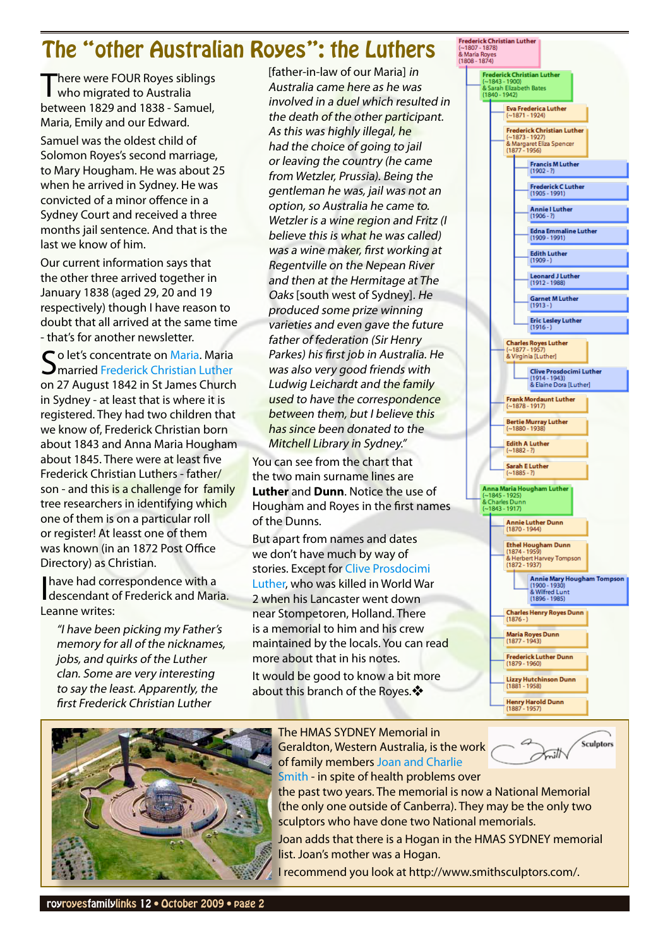## <span id="page-1-0"></span>The "other Australian Royes": the Luthers

There were FOUR Royes siblings<br>who migrated to Australia between 1829 and 1838 - Samuel, Maria, Emily and our Edward.

Samuel was the oldest child of Solomon Royes's second marriage, to Mary Hougham. He was about 25 when he arrived in Sydney. He was convicted of a minor offence in a Sydney Court and received a three months jail sentence. And that is the last we know of him.

Our current information says that the other three arrived together in January 1838 (aged 29, 20 and 19 respectively) though I have reason to doubt that all arrived at the same time - that's for another newsletter.

Co let's concentrate on [Maria](http://royroyes.net/genealogy/getperson.php?personID=I2261&tree=rr_tree). Maria  $\mathbf{\mathcal{D}}$ married Frederick Christian Luther on 27 August 1842 in St James Church in Sydney - at least that is where it is registered. They had two children that we know of, Frederick Christian born about 1843 and Anna Maria Hougham about 1845. There were at least five Frederick Christian Luthers - father/ son - and this is a challenge for family tree researchers in identifying which one of them is on a particular roll or register! At leasst one of them was known (in an 1872 Post Office Directory) as Christian.

I have had correspondence with a<br>descendant of Frederick and Maria. Leanne writes:

"I have been picking my Father's memory for all of the nicknames, jobs, and quirks of the Luther clan. Some are very interesting to say the least. Apparently, the first Frederick Christian Luther

[father-in-law of our Maria] in Australia came here as he was involved in a duel which resulted in the death of the other participant. As this was highly illegal, he had the choice of going to jail or leaving the country (he came from Wetzler, Prussia). Being the gentleman he was, jail was not an option, so Australia he came to. Wetzler is a wine region and Fritz (I believe this is what he was called) was a wine maker, first working at Regentville on the Nepean River and then at the Hermitage at The Oaks [south west of Sydney]. He produced some prize winning varieties and even gave the future father of federation (Sir Henry Parkes) his first job in Australia. He was also very good friends with Ludwig Leichardt and the family used to have the correspondence between them, but I believe this has since been donated to the Mitchell Library in Sydney."

You can see from the chart that the two main surname lines are **Luther** and **Dunn**. Notice the use of Hougham and Royes in the first names of the Dunns.

But apart from names and dates we don't have much by way of stories. Except for [Clive Prosdocimi](http://royroyes.net/genealogy/getperson.php?personID=I5419&tree=rr_tree)  [Luther,](http://royroyes.net/genealogy/getperson.php?personID=I5419&tree=rr_tree) who was killed in World War 2 when his Lancaster went down near Stompetoren, Holland. There is a memorial to him and his crew maintained by the locals. You can read more about that in his notes.

It would be good to know a bit more about this branch of the Royes.❖





The HMAS SYDNEY Memorial in Geraldton, Western Australia, is the work of family members [Joan and Charlie](http://royroyes.net/genealogy/familygroup.php?familyID=F1216&tree=rr_tree)  [Smith](http://royroyes.net/genealogy/familygroup.php?familyID=F1216&tree=rr_tree) - in spite of health problems over



the past two years. The memorial is now a National Memorial (the only one outside of Canberra). They may be the only two sculptors who have done two National memorials.

Joan adds that there is a Hogan in the HMAS SYDNEY memorial list. Joan's mother was a Hogan.

I recommend you look at http://www.smithsculptors.com/.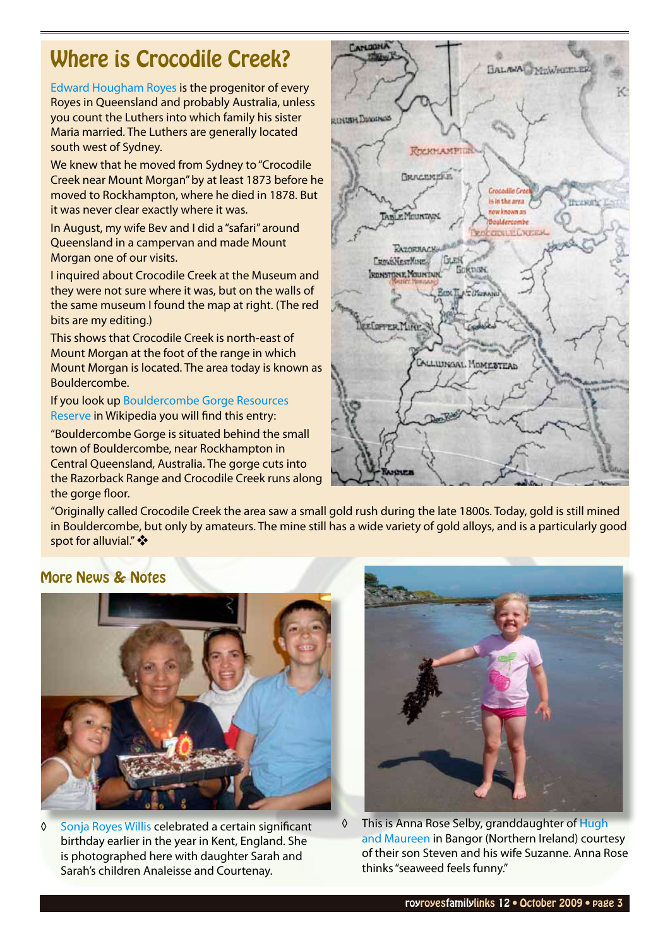# <span id="page-2-0"></span>Where is Crocodile Creek?

[Edward Hougham Royes](http://royroyes.net/genealogy/getperson.php?personID=I911&tree=rr_tree) is the progenitor of every Royes in Queensland and probably Australia, unless you count the Luthers into which family his sister Maria married. The Luthers are generally located south west of Sydney.

We knew that he moved from Sydney to "Crocodile Creek near Mount Morgan" by at least 1873 before he moved to Rockhampton, where he died in 1878. But it was never clear exactly where it was.

In August, my wife Bev and I did a "safari" around Queensland in a campervan and made Mount Morgan one of our visits.

I inquired about Crocodile Creek at the Museum and they were not sure where it was, but on the walls of the same museum I found the map at right. (The red bits are my editing.)

This shows that Crocodile Creek is north-east of Mount Morgan at the foot of the range in which Mount Morgan is located. The area today is known as Bouldercombe.

If you look up [Bouldercombe Gorge Resources](http://en.wikipedia.org/wiki/Bouldercombe_Gorge_Resources_Reserve)  [Reserve](http://en.wikipedia.org/wiki/Bouldercombe_Gorge_Resources_Reserve) in Wikipedia you will find this entry:

"Bouldercombe Gorge is situated behind the small town of Bouldercombe, near Rockhampton in Central Queensland, Australia. The gorge cuts into the Razorback Range and Crocodile Creek runs along the gorge floor.



"Originally called Crocodile Creek the area saw a small gold rush during the late 1800s. Today, gold is still mined in Bouldercombe, but only by amateurs. The mine still has a wide variety of gold alloys, and is a particularly good spot for alluvial." ❖

#### More News & Notes



◊ [Sonja Royes Willis](http://royroyes.net/genealogy/getperson.php?personID=I4472&tree=rr_tree) celebrated a certain significant birthday earlier in the year in Kent, England. She is photographed here with daughter Sarah and Sarah's children Analeisse and Courtenay.



◊ This is Anna Rose Selby, granddaughter of [Hugh](http://royroyes.net/genealogy/familygroup.php?familyID=F352&tree=rr_tree)  [and Maureen](http://royroyes.net/genealogy/familygroup.php?familyID=F352&tree=rr_tree) in Bangor (Northern Ireland) courtesy of their son Steven and his wife Suzanne. Anna Rose thinks "seaweed feels funny."